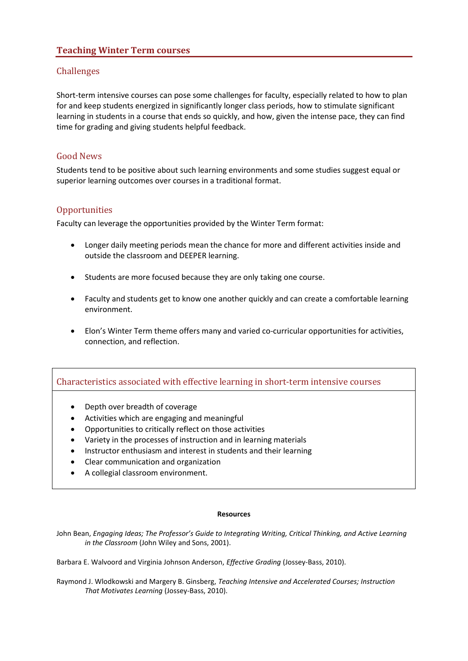# **Teaching Winter Term courses**

# Challenges

Short-term intensive courses can pose some challenges for faculty, especially related to how to plan for and keep students energized in significantly longer class periods, how to stimulate significant learning in students in a course that ends so quickly, and how, given the intense pace, they can find time for grading and giving students helpful feedback.

# Good News

Students tend to be positive about such learning environments and some studies suggest equal or superior learning outcomes over courses in a traditional format.

# **Opportunities**

Faculty can leverage the opportunities provided by the Winter Term format:

- Longer daily meeting periods mean the chance for more and different activities inside and outside the classroom and DEEPER learning.
- Students are more focused because they are only taking one course.
- Faculty and students get to know one another quickly and can create a comfortable learning environment.
- Elon's Winter Term theme offers many and varied co-curricular opportunities for activities, connection, and reflection.

# Characteristics associated with effective learning in short-term intensive courses

- Depth over breadth of coverage
- Activities which are engaging and meaningful
- Opportunities to critically reflect on those activities
- Variety in the processes of instruction and in learning materials
- Instructor enthusiasm and interest in students and their learning
- Clear communication and organization
- A collegial classroom environment.

#### **Resources**

John Bean, *Engaging Ideas; The Professor's Guide to Integrating Writing, Critical Thinking, and Active Learning in the Classroom* (John Wiley and Sons, 2001).

Barbara E. Walvoord and Virginia Johnson Anderson, *Effective Grading* (Jossey-Bass, 2010).

Raymond J. Wlodkowski and Margery B. Ginsberg, *Teaching Intensive and Accelerated Courses; Instruction That Motivates Learning* (Jossey-Bass, 2010).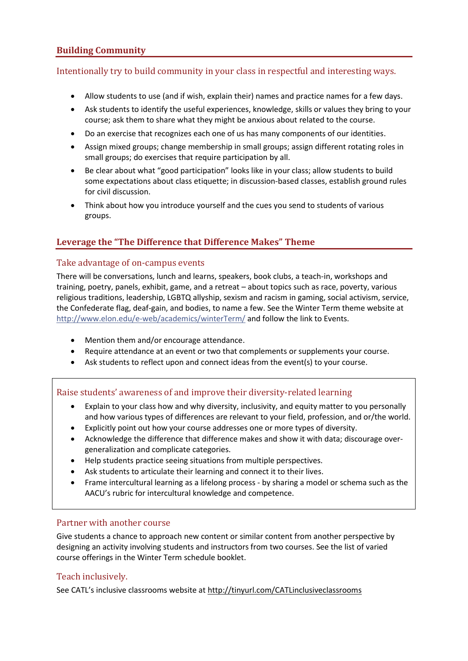# **Building Community**

# Intentionally try to build community in your class in respectful and interesting ways.

- Allow students to use (and if wish, explain their) names and practice names for a few days.
- Ask students to identify the useful experiences, knowledge, skills or values they bring to your course; ask them to share what they might be anxious about related to the course.
- Do an exercise that recognizes each one of us has many components of our identities.
- Assign mixed groups; change membership in small groups; assign different rotating roles in small groups; do exercises that require participation by all.
- Be clear about what "good participation" looks like in your class; allow students to build some expectations about class etiquette; in discussion-based classes, establish ground rules for civil discussion.
- Think about how you introduce yourself and the cues you send to students of various groups.

# **Leverage the "The Difference that Difference Makes" Theme**

#### Take advantage of on-campus events

There will be conversations, lunch and learns, speakers, book clubs, a teach-in, workshops and training, poetry, panels, exhibit, game, and a retreat – about topics such as race, poverty, various religious traditions, leadership, LGBTQ allyship, sexism and racism in gaming, social activism, service, the Confederate flag, deaf-gain, and bodies, to name a few. See the Winter Term theme website at <http://www.elon.edu/e-web/academics/winterTerm/> and follow the link to Events.

- Mention them and/or encourage attendance.
- Require attendance at an event or two that complements or supplements your course.
- Ask students to reflect upon and connect ideas from the event(s) to your course.

# Raise students' awareness of and improve their diversity-related learning

- Explain to your class how and why diversity, inclusivity, and equity matter to you personally and how various types of differences are relevant to your field, profession, and or/the world.
- Explicitly point out how your course addresses one or more types of diversity.
- Acknowledge the difference that difference makes and show it with data; discourage overgeneralization and complicate categories.
- Help students practice seeing situations from multiple perspectives.
- Ask students to articulate their learning and connect it to their lives.
- Frame intercultural learning as a lifelong process by sharing a model or schema such as the AACU's rubric for intercultural knowledge and competence.

# Partner with another course

Give students a chance to approach new content or similar content from another perspective by designing an activity involving students and instructors from two courses. See the list of varied course offerings in the Winter Term schedule booklet.

# Teach inclusively.

See CATL's inclusive classrooms website at <http://tinyurl.com/CATLinclusiveclassrooms>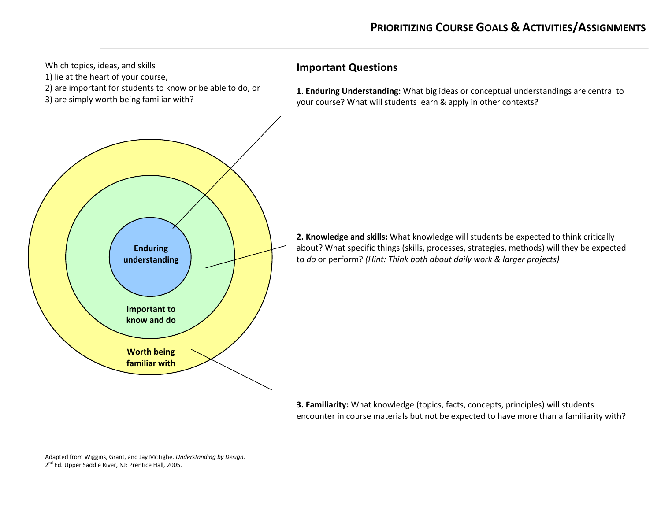

**3. Familiarity:** What knowledge (topics, facts, concepts, principles) will students encounter in course materials but not be expected to have more than a familiarity with?

Adapted from Wiggins, Grant, and Jay McTighe. *Understanding by Design*. 2 nd Ed*.* Upper Saddle River, NJ: Prentice Hall, 2005.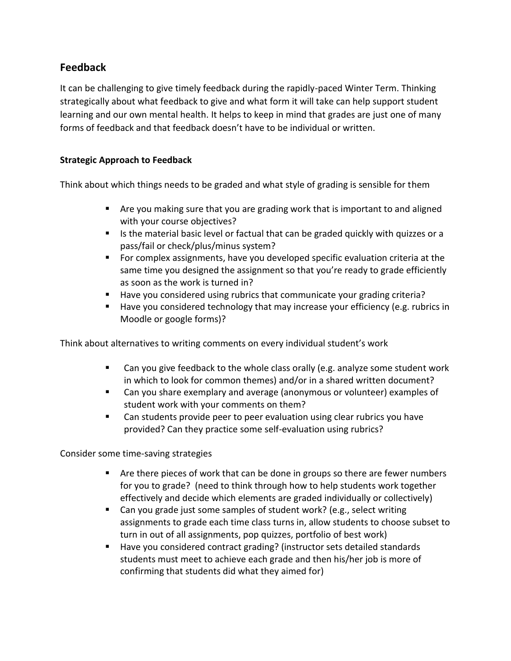# **Feedback**

It can be challenging to give timely feedback during the rapidly-paced Winter Term. Thinking strategically about what feedback to give and what form it will take can help support student learning and our own mental health. It helps to keep in mind that grades are just one of many forms of feedback and that feedback doesn't have to be individual or written.

# **Strategic Approach to Feedback**

Think about which things needs to be graded and what style of grading is sensible for them

- Are you making sure that you are grading work that is important to and aligned with your course objectives?
- Is the material basic level or factual that can be graded quickly with quizzes or a pass/fail or check/plus/minus system?
- For complex assignments, have you developed specific evaluation criteria at the same time you designed the assignment so that you're ready to grade efficiently as soon as the work is turned in?
- Have you considered using rubrics that communicate your grading criteria?
- Have you considered technology that may increase your efficiency (e.g. rubrics in Moodle or google forms)?

Think about alternatives to writing comments on every individual student's work

- Can you give feedback to the whole class orally (e.g. analyze some student work in which to look for common themes) and/or in a shared written document?
- Can you share exemplary and average (anonymous or volunteer) examples of student work with your comments on them?
- Can students provide peer to peer evaluation using clear rubrics you have provided? Can they practice some self-evaluation using rubrics?

Consider some time-saving strategies

- Are there pieces of work that can be done in groups so there are fewer numbers for you to grade? (need to think through how to help students work together effectively and decide which elements are graded individually or collectively)
- Can you grade just some samples of student work? (e.g., select writing assignments to grade each time class turns in, allow students to choose subset to turn in out of all assignments, pop quizzes, portfolio of best work)
- Have you considered contract grading? (instructor sets detailed standards students must meet to achieve each grade and then his/her job is more of confirming that students did what they aimed for)